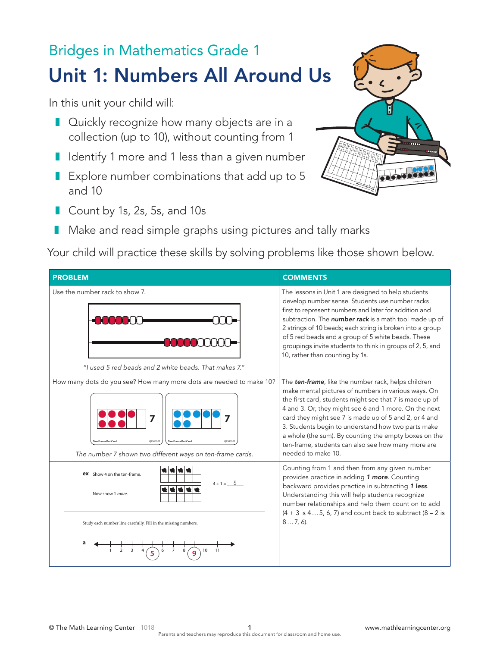## Bridges in Mathematics Grade 1 Unit 1: Numbers All Around Us

In this unit your child will:

- Quickly recognize how many objects are in a collection (up to 10), without counting from 1
- Identify 1 more and 1 less than a given number
- Explore number combinations that add up to 5 and 10
- Count by 1s, 2s, 5s, and 10s
- Make and read simple graphs using pictures and tally marks

Your child will practice these skills by solving problems like those shown below.